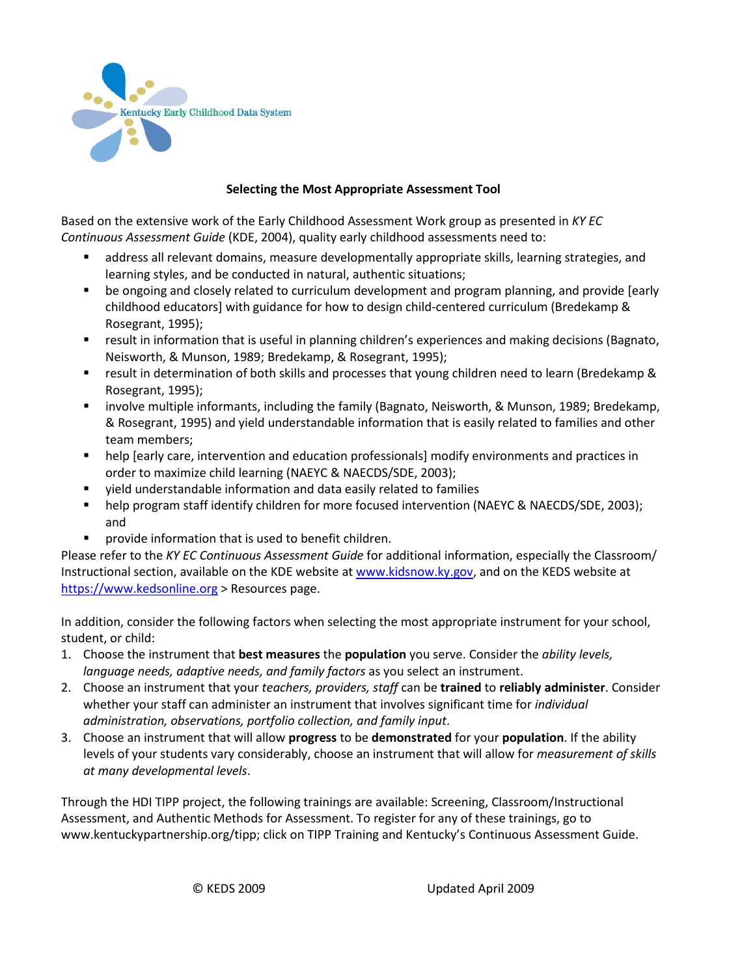

## **Selecting the Most Appropriate Assessment Tool**

Based on the extensive work of the Early Childhood Assessment Work group as presented in *KY EC Continuous Assessment Guide* (KDE, 2004), quality early childhood assessments need to:

- address all relevant domains, measure developmentally appropriate skills, learning strategies, and learning styles, and be conducted in natural, authentic situations;
- be ongoing and closely related to curriculum development and program planning, and provide [early childhood educators] with guidance for how to design child-centered curriculum (Bredekamp & Rosegrant, 1995);
- result in information that is useful in planning children's experiences and making decisions (Bagnato, Neisworth, & Munson, 1989; Bredekamp, & Rosegrant, 1995);
- result in determination of both skills and processes that young children need to learn (Bredekamp & Rosegrant, 1995);
- **EXED involve multiple informants, including the family (Bagnato, Neisworth, & Munson, 1989; Bredekamp,** & Rosegrant, 1995) and yield understandable information that is easily related to families and other team members;
- **•** help [early care, intervention and education professionals] modify environments and practices in order to maximize child learning (NAEYC & NAECDS/SDE, 2003);
- yield understandable information and data easily related to families
- **•** help program staff identify children for more focused intervention (NAEYC & NAECDS/SDE, 2003); and
- **Perovide information that is used to benefit children.**

Please refer to the *KY EC Continuous Assessment Guide* for additional information, especially the Classroom/ Instructional section, available on the KDE website at [www.kidsnow.ky.gov,](http://www.kidsnow.ky.gov/) and on the KEDS website at [https://www.kedsonline.org](https://www.kedsonline.org/) > Resources page.

In addition, consider the following factors when selecting the most appropriate instrument for your school, student, or child:

- 1. Choose the instrument that **best measures** the **population** you serve. Consider the *ability levels, language needs, adaptive needs, and family factors* as you select an instrument.
- 2. Choose an instrument that your *teachers, providers, staff* can be **trained** to **reliably administer**. Consider whether your staff can administer an instrument that involves significant time for *individual administration, observations, portfolio collection, and family input*.
- 3. Choose an instrument that will allow **progress** to be **demonstrated** for your **population**. If the ability levels of your students vary considerably, choose an instrument that will allow for *measurement of skills at many developmental levels*.

Through the HDI TIPP project, the following trainings are available: Screening, Classroom/Instructional Assessment, and Authentic Methods for Assessment. To register for any of these trainings, go to www.kentuckypartnership.org/tipp; click on TIPP Training and Kentucky's Continuous Assessment Guide.